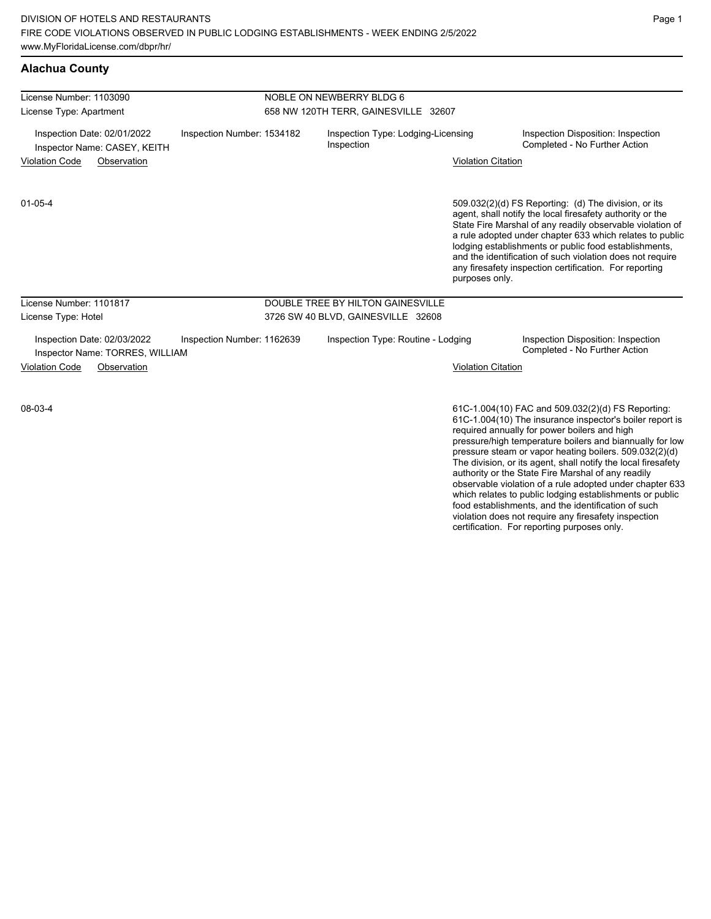**Alachua County**

#### License Number: 1103090 License Type: Apartment NOBLE ON NEWBERRY BLDG 6 658 NW 120TH TERR, GAINESVILLE 32607 Inspection Date: 02/01/2022 Inspection Number: 1534182 Inspection Type: Lodging-Licensing Inspection Inspection Disposition: Inspection Inspector Name: CASEY, KEITH **Example 20 Telecom** Inspection Inspection Completed - No Further Action Violation Code Observation Violation Citation 509.032(2)(d) FS Reporting: (d) The division, or its agent, shall notify the local firesafety authority or the State Fire Marshal of any readily observable violation of a rule adopted under chapter 633 which relates to public lodging establishments or public food establishments, and the identification of such violation does not require any firesafety inspection certification. For reporting purposes only. 01-05-4 License Number: 1101817 License Type: Hotel DOUBLE TREE BY HILTON GAINESVILLE 3726 SW 40 BLVD, GAINESVILLE 32608 Inspection Date: 02/03/2022 Inspection Number: 1162639 Inspection Type: Routine - Lodging Inspection Disposition: Inspection<br>Inspector Name: TORRES WILLIAM Inspector Name: TORRES, WILLIAM Violation Code Observation Violation Citation 61C-1.004(10) FAC and 509.032(2)(d) FS Reporting: 08-03-4

61C-1.004(10) The insurance inspector's boiler report is required annually for power boilers and high pressure/high temperature boilers and biannually for low pressure steam or vapor heating boilers. 509.032(2)(d) The division, or its agent, shall notify the local firesafety authority or the State Fire Marshal of any readily observable violation of a rule adopted under chapter 633 which relates to public lodging establishments or public food establishments, and the identification of such violation does not require any firesafety inspection certification. For reporting purposes only.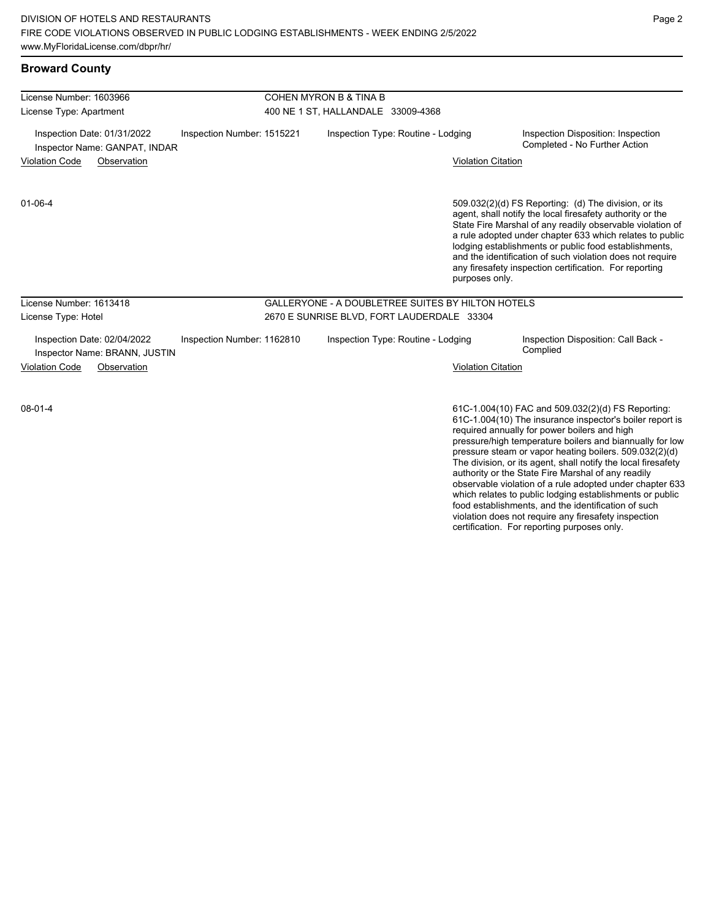| License Number: 1603966                                      |                            | COHEN MYRON B & TINA B                            |                                                                                                                                                                                                                                                                                                                                                                                                                                              |  |  |
|--------------------------------------------------------------|----------------------------|---------------------------------------------------|----------------------------------------------------------------------------------------------------------------------------------------------------------------------------------------------------------------------------------------------------------------------------------------------------------------------------------------------------------------------------------------------------------------------------------------------|--|--|
| License Type: Apartment                                      |                            | 400 NE 1 ST, HALLANDALE 33009-4368                |                                                                                                                                                                                                                                                                                                                                                                                                                                              |  |  |
| Inspection Date: 01/31/2022<br>Inspector Name: GANPAT, INDAR | Inspection Number: 1515221 | Inspection Type: Routine - Lodging                | Inspection Disposition: Inspection<br>Completed - No Further Action                                                                                                                                                                                                                                                                                                                                                                          |  |  |
| <b>Violation Code</b><br>Observation                         |                            |                                                   | <b>Violation Citation</b>                                                                                                                                                                                                                                                                                                                                                                                                                    |  |  |
| $01 - 06 - 4$                                                |                            |                                                   | 509.032(2)(d) FS Reporting: (d) The division, or its<br>agent, shall notify the local firesafety authority or the<br>State Fire Marshal of any readily observable violation of<br>a rule adopted under chapter 633 which relates to public<br>lodging establishments or public food establishments,<br>and the identification of such violation does not require<br>any firesafety inspection certification. For reporting<br>purposes only. |  |  |
| License Number: 1613418                                      |                            | GALLERYONE - A DOUBLETREE SUITES BY HILTON HOTELS |                                                                                                                                                                                                                                                                                                                                                                                                                                              |  |  |
| License Type: Hotel                                          |                            | 2670 E SUNRISE BLVD, FORT LAUDERDALE 33304        |                                                                                                                                                                                                                                                                                                                                                                                                                                              |  |  |
| Inspection Date: 02/04/2022<br>Inspector Name: BRANN, JUSTIN | Inspection Number: 1162810 | Inspection Type: Routine - Lodging                | Inspection Disposition: Call Back -<br>Complied                                                                                                                                                                                                                                                                                                                                                                                              |  |  |
| <b>Violation Code</b><br>Observation                         |                            |                                                   | <b>Violation Citation</b>                                                                                                                                                                                                                                                                                                                                                                                                                    |  |  |
| $08 - 01 - 4$                                                |                            |                                                   | 61C-1.004(10) FAC and 509.032(2)(d) FS Reporting:<br>61C-1.004(10) The insurance inspector's boiler report is                                                                                                                                                                                                                                                                                                                                |  |  |

required annually for power boilers and high pressure/high temperature boilers and biannually for low pressure steam or vapor heating boilers. 509.032(2)(d) The division, or its agent, shall notify the local firesafety authority or the State Fire Marshal of any readily observable violation of a rule adopted under chapter 633 which relates to public lodging establishments or public food establishments, and the identification of such violation does not require any firesafety inspection certification. For reporting purposes only.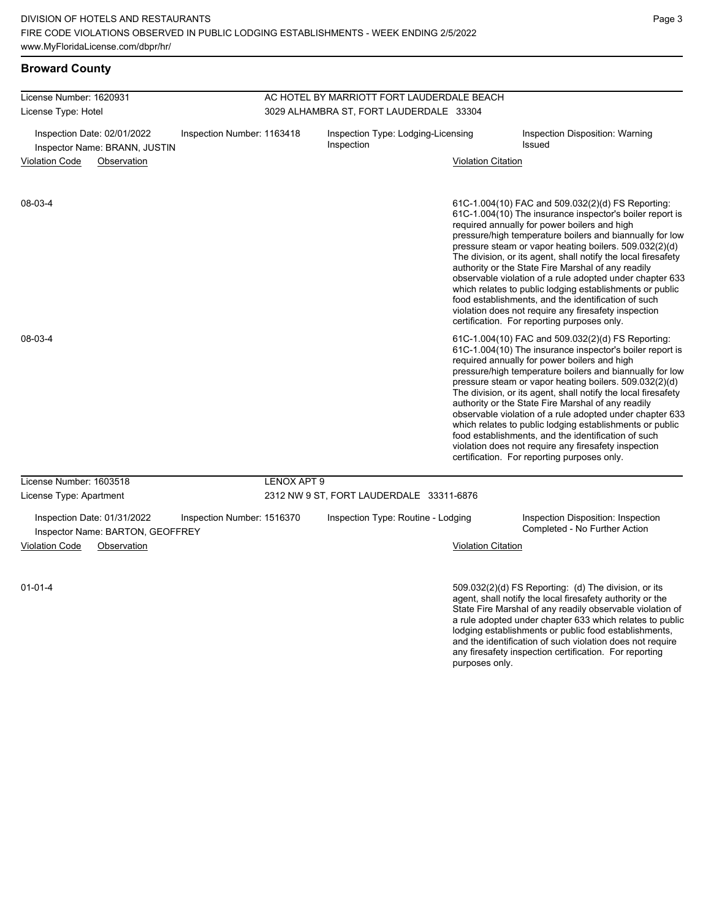and the identification of such violation does not require any firesafety inspection certification. For reporting

purposes only.

## **Broward County**

| License Number: 1620931                                                                    |                                                                 |                            | AC HOTEL BY MARRIOTT FORT LAUDERDALE BEACH       |                                          |                                           |                                                                                                                                                                                                                                                                                                                                                                                                                                                                                                                                                                                                                                                                                                  |  |  |
|--------------------------------------------------------------------------------------------|-----------------------------------------------------------------|----------------------------|--------------------------------------------------|------------------------------------------|-------------------------------------------|--------------------------------------------------------------------------------------------------------------------------------------------------------------------------------------------------------------------------------------------------------------------------------------------------------------------------------------------------------------------------------------------------------------------------------------------------------------------------------------------------------------------------------------------------------------------------------------------------------------------------------------------------------------------------------------------------|--|--|
| License Type: Hotel                                                                        |                                                                 |                            | 3029 ALHAMBRA ST, FORT LAUDERDALE 33304          |                                          |                                           |                                                                                                                                                                                                                                                                                                                                                                                                                                                                                                                                                                                                                                                                                                  |  |  |
| Inspection Date: 02/01/2022<br>Inspection Number: 1163418<br>Inspector Name: BRANN, JUSTIN |                                                                 |                            | Inspection Type: Lodging-Licensing<br>Inspection |                                          | Inspection Disposition: Warning<br>Issued |                                                                                                                                                                                                                                                                                                                                                                                                                                                                                                                                                                                                                                                                                                  |  |  |
| Violation Code<br>Observation                                                              |                                                                 |                            |                                                  | <b>Violation Citation</b>                |                                           |                                                                                                                                                                                                                                                                                                                                                                                                                                                                                                                                                                                                                                                                                                  |  |  |
| 08-03-4                                                                                    |                                                                 |                            |                                                  |                                          |                                           | 61C-1.004(10) FAC and 509.032(2)(d) FS Reporting:<br>61C-1.004(10) The insurance inspector's boiler report is<br>required annually for power boilers and high<br>pressure/high temperature boilers and biannually for low<br>pressure steam or vapor heating boilers. 509.032(2)(d)<br>The division, or its agent, shall notify the local firesafety<br>authority or the State Fire Marshal of any readily<br>observable violation of a rule adopted under chapter 633<br>which relates to public lodging establishments or public<br>food establishments, and the identification of such<br>violation does not require any firesafety inspection<br>certification. For reporting purposes only. |  |  |
| 08-03-4                                                                                    |                                                                 |                            |                                                  |                                          |                                           | 61C-1.004(10) FAC and 509.032(2)(d) FS Reporting:<br>61C-1.004(10) The insurance inspector's boiler report is<br>required annually for power boilers and high<br>pressure/high temperature boilers and biannually for low<br>pressure steam or vapor heating boilers. 509.032(2)(d)<br>The division, or its agent, shall notify the local firesafety<br>authority or the State Fire Marshal of any readily<br>observable violation of a rule adopted under chapter 633<br>which relates to public lodging establishments or public<br>food establishments, and the identification of such<br>violation does not require any firesafety inspection<br>certification. For reporting purposes only. |  |  |
| License Number: 1603518                                                                    |                                                                 |                            | LENOX APT 9                                      |                                          |                                           |                                                                                                                                                                                                                                                                                                                                                                                                                                                                                                                                                                                                                                                                                                  |  |  |
| License Type: Apartment                                                                    |                                                                 |                            |                                                  | 2312 NW 9 ST, FORT LAUDERDALE 33311-6876 |                                           |                                                                                                                                                                                                                                                                                                                                                                                                                                                                                                                                                                                                                                                                                                  |  |  |
|                                                                                            | Inspection Date: 01/31/2022<br>Inspector Name: BARTON, GEOFFREY | Inspection Number: 1516370 |                                                  | Inspection Type: Routine - Lodging       |                                           | Inspection Disposition: Inspection<br>Completed - No Further Action                                                                                                                                                                                                                                                                                                                                                                                                                                                                                                                                                                                                                              |  |  |
| Violation Code                                                                             | Observation                                                     |                            |                                                  |                                          | <b>Violation Citation</b>                 |                                                                                                                                                                                                                                                                                                                                                                                                                                                                                                                                                                                                                                                                                                  |  |  |
| $01 - 01 - 4$                                                                              |                                                                 |                            |                                                  |                                          |                                           | $509.032(2)(d)$ FS Reporting: (d) The division, or its<br>agent, shall notify the local firesafety authority or the<br>State Fire Marshal of any readily observable violation of<br>a rule adopted under chapter 633 which relates to public<br>lodging establishments or public food establishments,                                                                                                                                                                                                                                                                                                                                                                                            |  |  |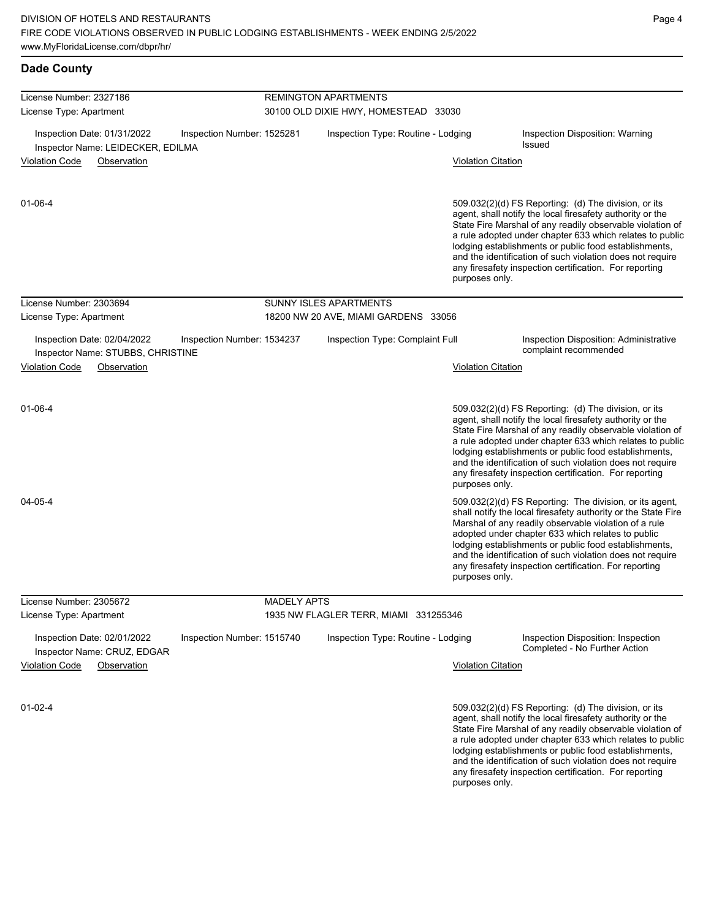| <b>Dade County</b>                                                                             |                    |                                       |                           |                                                                                                                                                                                                                                                                                                                                                                                                                            |
|------------------------------------------------------------------------------------------------|--------------------|---------------------------------------|---------------------------|----------------------------------------------------------------------------------------------------------------------------------------------------------------------------------------------------------------------------------------------------------------------------------------------------------------------------------------------------------------------------------------------------------------------------|
| License Number: 2327186                                                                        |                    | <b>REMINGTON APARTMENTS</b>           |                           |                                                                                                                                                                                                                                                                                                                                                                                                                            |
| License Type: Apartment                                                                        |                    | 30100 OLD DIXIE HWY, HOMESTEAD 33030  |                           |                                                                                                                                                                                                                                                                                                                                                                                                                            |
| Inspection Date: 01/31/2022<br>Inspection Number: 1525281<br>Inspector Name: LEIDECKER, EDILMA |                    | Inspection Type: Routine - Lodging    |                           | Inspection Disposition: Warning<br><b>Issued</b>                                                                                                                                                                                                                                                                                                                                                                           |
| <b>Violation Code</b><br>Observation                                                           |                    |                                       | <b>Violation Citation</b> |                                                                                                                                                                                                                                                                                                                                                                                                                            |
| 01-06-4                                                                                        |                    |                                       | purposes only.            | 509.032(2)(d) FS Reporting: (d) The division, or its<br>agent, shall notify the local firesafety authority or the<br>State Fire Marshal of any readily observable violation of<br>a rule adopted under chapter 633 which relates to public<br>lodging establishments or public food establishments,<br>and the identification of such violation does not require<br>any firesafety inspection certification. For reporting |
| License Number: 2303694                                                                        |                    | SUNNY ISLES APARTMENTS                |                           |                                                                                                                                                                                                                                                                                                                                                                                                                            |
| License Type: Apartment                                                                        |                    | 18200 NW 20 AVE, MIAMI GARDENS 33056  |                           |                                                                                                                                                                                                                                                                                                                                                                                                                            |
| Inspection Date: 02/04/2022<br>Inspection Number: 1534237<br>Inspector Name: STUBBS, CHRISTINE |                    | Inspection Type: Complaint Full       |                           | Inspection Disposition: Administrative<br>complaint recommended                                                                                                                                                                                                                                                                                                                                                            |
| <b>Violation Code</b><br>Observation                                                           |                    |                                       | <b>Violation Citation</b> |                                                                                                                                                                                                                                                                                                                                                                                                                            |
| $01 - 06 - 4$                                                                                  |                    |                                       | purposes only.            | 509.032(2)(d) FS Reporting: (d) The division, or its<br>agent, shall notify the local firesafety authority or the<br>State Fire Marshal of any readily observable violation of<br>a rule adopted under chapter 633 which relates to public<br>lodging establishments or public food establishments,<br>and the identification of such violation does not require<br>any firesafety inspection certification. For reporting |
| 04-05-4                                                                                        |                    |                                       | purposes only.            | 509.032(2)(d) FS Reporting: The division, or its agent,<br>shall notify the local firesafety authority or the State Fire<br>Marshal of any readily observable violation of a rule<br>adopted under chapter 633 which relates to public<br>lodging establishments or public food establishments,<br>and the identification of such violation does not require<br>any firesafety inspection certification. For reporting     |
| License Number: 2305672                                                                        | <b>MADELY APTS</b> |                                       |                           |                                                                                                                                                                                                                                                                                                                                                                                                                            |
| License Type: Apartment                                                                        |                    | 1935 NW FLAGLER TERR, MIAMI 331255346 |                           |                                                                                                                                                                                                                                                                                                                                                                                                                            |
| Inspection Date: 02/01/2022<br>Inspection Number: 1515740<br>Inspector Name: CRUZ, EDGAR       |                    | Inspection Type: Routine - Lodging    |                           | Inspection Disposition: Inspection<br>Completed - No Further Action                                                                                                                                                                                                                                                                                                                                                        |
| <b>Violation Code</b><br>Observation                                                           |                    |                                       | <b>Violation Citation</b> |                                                                                                                                                                                                                                                                                                                                                                                                                            |
| $01 - 02 - 4$                                                                                  |                    |                                       |                           | 509.032(2)(d) FS Reporting: (d) The division, or its<br>agent, shall notify the local firesafety authority or the<br>State Fire Marshal of any readily observable violation of<br>a rule adopted under chapter 633 which relates to public<br>lodging establishments or public food establishments,                                                                                                                        |

and the identification of such violation does not require any firesafety inspection certification. For reporting purposes only.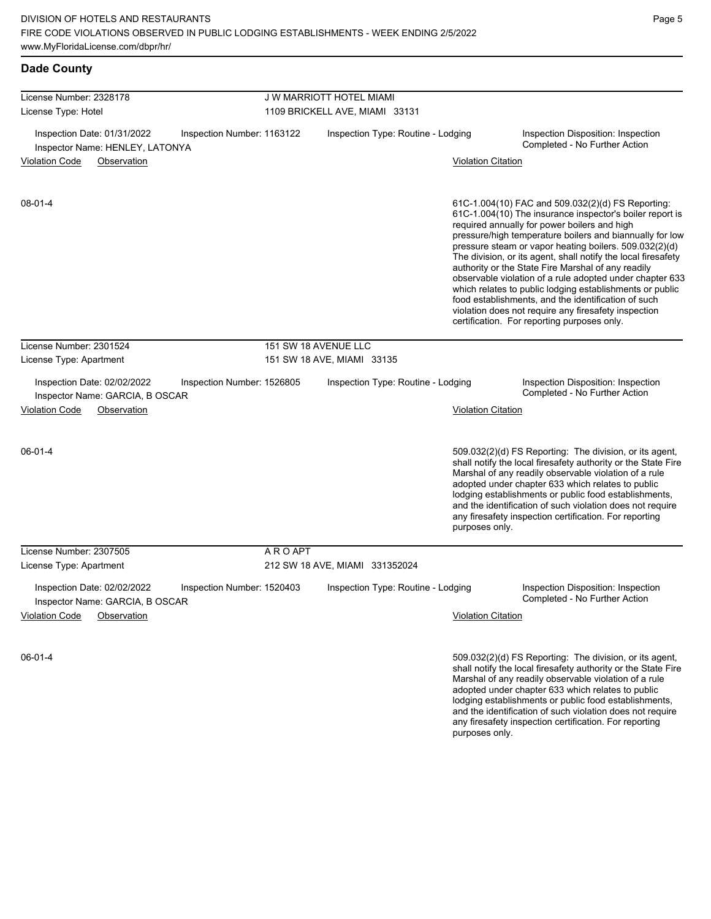and the identification of such violation does not require any firesafety inspection certification. For reporting

| <b>Dade County</b>                                                                                                                   |           |                                    |                           |                                                                                                                                                                                                                                                                                                                                                                                                                                                                                                                                                                                                                                                                                                  |
|--------------------------------------------------------------------------------------------------------------------------------------|-----------|------------------------------------|---------------------------|--------------------------------------------------------------------------------------------------------------------------------------------------------------------------------------------------------------------------------------------------------------------------------------------------------------------------------------------------------------------------------------------------------------------------------------------------------------------------------------------------------------------------------------------------------------------------------------------------------------------------------------------------------------------------------------------------|
| License Number: 2328178                                                                                                              |           | J W MARRIOTT HOTEL MIAMI           |                           |                                                                                                                                                                                                                                                                                                                                                                                                                                                                                                                                                                                                                                                                                                  |
| License Type: Hotel                                                                                                                  |           | 1109 BRICKELL AVE, MIAMI 33131     |                           |                                                                                                                                                                                                                                                                                                                                                                                                                                                                                                                                                                                                                                                                                                  |
| Inspection Date: 01/31/2022<br>Inspection Number: 1163122<br>Inspector Name: HENLEY, LATONYA                                         |           | Inspection Type: Routine - Lodging |                           | Inspection Disposition: Inspection<br>Completed - No Further Action                                                                                                                                                                                                                                                                                                                                                                                                                                                                                                                                                                                                                              |
| <b>Violation Code</b><br>Observation                                                                                                 |           |                                    | <b>Violation Citation</b> |                                                                                                                                                                                                                                                                                                                                                                                                                                                                                                                                                                                                                                                                                                  |
| $08 - 01 - 4$                                                                                                                        |           |                                    |                           | 61C-1.004(10) FAC and 509.032(2)(d) FS Reporting:<br>61C-1.004(10) The insurance inspector's boiler report is<br>required annually for power boilers and high<br>pressure/high temperature boilers and biannually for low<br>pressure steam or vapor heating boilers. 509.032(2)(d)<br>The division, or its agent, shall notify the local firesafety<br>authority or the State Fire Marshal of any readily<br>observable violation of a rule adopted under chapter 633<br>which relates to public lodging establishments or public<br>food establishments, and the identification of such<br>violation does not require any firesafety inspection<br>certification. For reporting purposes only. |
| License Number: 2301524                                                                                                              |           | 151 SW 18 AVENUE LLC               |                           |                                                                                                                                                                                                                                                                                                                                                                                                                                                                                                                                                                                                                                                                                                  |
| License Type: Apartment                                                                                                              |           | 151 SW 18 AVE, MIAMI 33135         |                           |                                                                                                                                                                                                                                                                                                                                                                                                                                                                                                                                                                                                                                                                                                  |
| Inspection Date: 02/02/2022<br>Inspection Number: 1526805<br>Inspector Name: GARCIA, B OSCAR<br><b>Violation Code</b><br>Observation |           | Inspection Type: Routine - Lodging | <b>Violation Citation</b> | Inspection Disposition: Inspection<br>Completed - No Further Action                                                                                                                                                                                                                                                                                                                                                                                                                                                                                                                                                                                                                              |
| $06 - 01 - 4$                                                                                                                        |           |                                    | purposes only.            | 509.032(2)(d) FS Reporting: The division, or its agent,<br>shall notify the local firesafety authority or the State Fire<br>Marshal of any readily observable violation of a rule<br>adopted under chapter 633 which relates to public<br>lodging establishments or public food establishments,<br>and the identification of such violation does not require<br>any firesafety inspection certification. For reporting                                                                                                                                                                                                                                                                           |
| License Number: 2307505                                                                                                              | A R O APT |                                    |                           |                                                                                                                                                                                                                                                                                                                                                                                                                                                                                                                                                                                                                                                                                                  |
| License Type: Apartment                                                                                                              |           | 212 SW 18 AVE, MIAMI 331352024     |                           |                                                                                                                                                                                                                                                                                                                                                                                                                                                                                                                                                                                                                                                                                                  |
| Inspection Date: 02/02/2022<br>Inspection Number: 1520403<br>Inspector Name: GARCIA, B OSCAR                                         |           | Inspection Type: Routine - Lodging |                           | Inspection Disposition: Inspection<br>Completed - No Further Action                                                                                                                                                                                                                                                                                                                                                                                                                                                                                                                                                                                                                              |
| <b>Violation Code</b><br>Observation                                                                                                 |           |                                    | <b>Violation Citation</b> |                                                                                                                                                                                                                                                                                                                                                                                                                                                                                                                                                                                                                                                                                                  |
| $06 - 01 - 4$                                                                                                                        |           |                                    |                           | 509.032(2)(d) FS Reporting: The division, or its agent,<br>shall notify the local firesafety authority or the State Fire<br>Marshal of any readily observable violation of a rule<br>adopted under chapter 633 which relates to public<br>lodging establishments or public food establishments,                                                                                                                                                                                                                                                                                                                                                                                                  |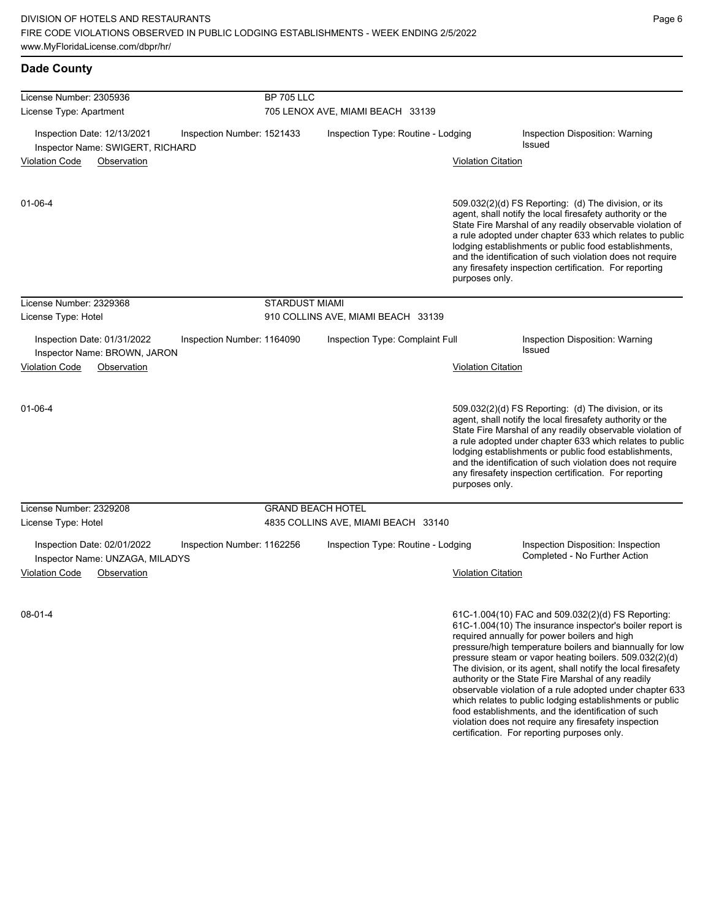| <b>Dade County</b>                                                                            |                       |                                                                           |                           |                                                                                                                                                                                                                                                                                                                                                                                                                                                                                                                                                                                                                                                                                                  |  |  |
|-----------------------------------------------------------------------------------------------|-----------------------|---------------------------------------------------------------------------|---------------------------|--------------------------------------------------------------------------------------------------------------------------------------------------------------------------------------------------------------------------------------------------------------------------------------------------------------------------------------------------------------------------------------------------------------------------------------------------------------------------------------------------------------------------------------------------------------------------------------------------------------------------------------------------------------------------------------------------|--|--|
| License Number: 2305936<br>License Type: Apartment                                            |                       | <b>BP 705 LLC</b><br>705 LENOX AVE, MIAMI BEACH 33139                     |                           |                                                                                                                                                                                                                                                                                                                                                                                                                                                                                                                                                                                                                                                                                                  |  |  |
| Inspection Date: 12/13/2021<br>Inspection Number: 1521433<br>Inspector Name: SWIGERT, RICHARD |                       | Inspection Type: Routine - Lodging                                        |                           | Inspection Disposition: Warning<br><b>Issued</b>                                                                                                                                                                                                                                                                                                                                                                                                                                                                                                                                                                                                                                                 |  |  |
| <b>Violation Code</b><br>Observation                                                          |                       |                                                                           | <b>Violation Citation</b> |                                                                                                                                                                                                                                                                                                                                                                                                                                                                                                                                                                                                                                                                                                  |  |  |
| 01-06-4                                                                                       |                       |                                                                           | purposes only.            | 509.032(2)(d) FS Reporting: (d) The division, or its<br>agent, shall notify the local firesafety authority or the<br>State Fire Marshal of any readily observable violation of<br>a rule adopted under chapter 633 which relates to public<br>lodging establishments or public food establishments,<br>and the identification of such violation does not require<br>any firesafety inspection certification. For reporting                                                                                                                                                                                                                                                                       |  |  |
| License Number: 2329368<br>License Type: Hotel                                                | <b>STARDUST MIAMI</b> | 910 COLLINS AVE, MIAMI BEACH 33139                                        |                           |                                                                                                                                                                                                                                                                                                                                                                                                                                                                                                                                                                                                                                                                                                  |  |  |
| Inspection Date: 01/31/2022<br>Inspection Number: 1164090<br>Inspector Name: BROWN, JARON     |                       | Inspection Type: Complaint Full                                           |                           | Inspection Disposition: Warning<br><b>Issued</b>                                                                                                                                                                                                                                                                                                                                                                                                                                                                                                                                                                                                                                                 |  |  |
| <b>Violation Code</b><br>Observation                                                          |                       |                                                                           | Violation Citation        |                                                                                                                                                                                                                                                                                                                                                                                                                                                                                                                                                                                                                                                                                                  |  |  |
| 01-06-4                                                                                       |                       |                                                                           | purposes only.            | 509.032(2)(d) FS Reporting: (d) The division, or its<br>agent, shall notify the local firesafety authority or the<br>State Fire Marshal of any readily observable violation of<br>a rule adopted under chapter 633 which relates to public<br>lodging establishments or public food establishments,<br>and the identification of such violation does not require<br>any firesafety inspection certification. For reporting                                                                                                                                                                                                                                                                       |  |  |
| License Number: 2329208                                                                       |                       | <b>GRAND BEACH HOTEL</b>                                                  |                           |                                                                                                                                                                                                                                                                                                                                                                                                                                                                                                                                                                                                                                                                                                  |  |  |
| License Type: Hotel<br>Inspection Date: 02/01/2022<br>Inspection Number: 1162256              |                       | 4835 COLLINS AVE, MIAMI BEACH 33140<br>Inspection Type: Routine - Lodging |                           | Inspection Disposition: Inspection                                                                                                                                                                                                                                                                                                                                                                                                                                                                                                                                                                                                                                                               |  |  |
| Inspector Name: UNZAGA, MILADYS<br>Violation Code<br>Observation                              |                       |                                                                           | Violation Citation        | Completed - No Further Action                                                                                                                                                                                                                                                                                                                                                                                                                                                                                                                                                                                                                                                                    |  |  |
| $08 - 01 - 4$                                                                                 |                       |                                                                           |                           | 61C-1.004(10) FAC and 509.032(2)(d) FS Reporting:<br>61C-1.004(10) The insurance inspector's boiler report is<br>required annually for power boilers and high<br>pressure/high temperature boilers and biannually for low<br>pressure steam or vapor heating boilers. 509.032(2)(d)<br>The division, or its agent, shall notify the local firesafety<br>authority or the State Fire Marshal of any readily<br>observable violation of a rule adopted under chapter 633<br>which relates to public lodging establishments or public<br>food establishments, and the identification of such<br>violation does not require any firesafety inspection<br>certification. For reporting purposes only. |  |  |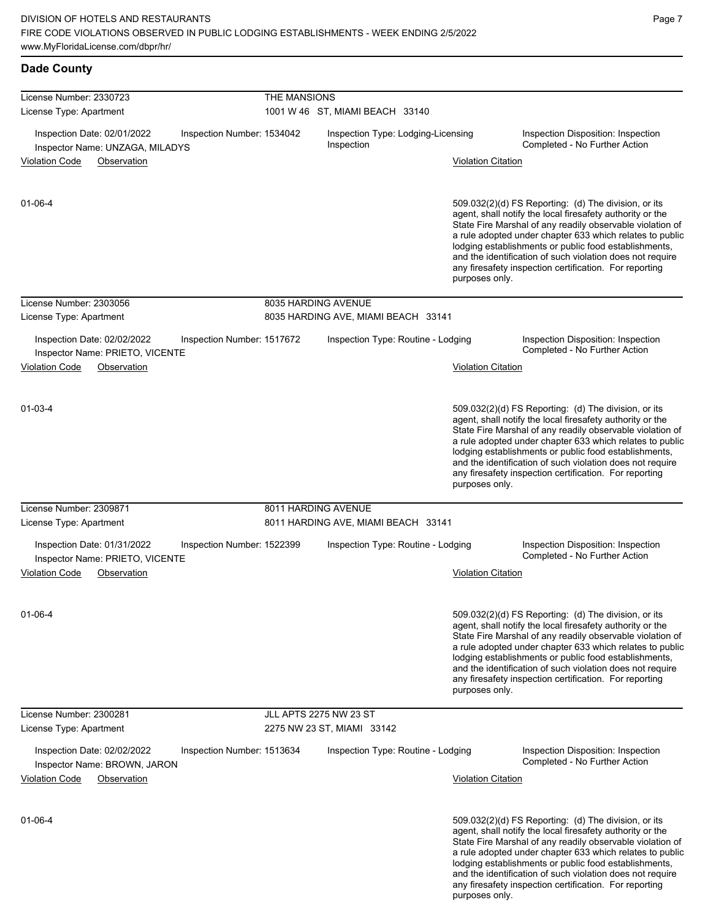any firesafety inspection certification. For reporting

| <b>Dade County</b>                                                      |                            |                                                  |                                                                                                                                                                                                                                                                                                                                                                                                                                              |  |  |  |
|-------------------------------------------------------------------------|----------------------------|--------------------------------------------------|----------------------------------------------------------------------------------------------------------------------------------------------------------------------------------------------------------------------------------------------------------------------------------------------------------------------------------------------------------------------------------------------------------------------------------------------|--|--|--|
| License Number: 2330723                                                 | THE MANSIONS               |                                                  |                                                                                                                                                                                                                                                                                                                                                                                                                                              |  |  |  |
| License Type: Apartment                                                 |                            | 1001 W 46 ST, MIAMI BEACH 33140                  |                                                                                                                                                                                                                                                                                                                                                                                                                                              |  |  |  |
| Inspection Date: 02/01/2022<br>Inspector Name: UNZAGA, MILADYS          | Inspection Number: 1534042 | Inspection Type: Lodging-Licensing<br>Inspection | Inspection Disposition: Inspection<br>Completed - No Further Action                                                                                                                                                                                                                                                                                                                                                                          |  |  |  |
| <b>Violation Code</b><br>Observation                                    |                            |                                                  | <b>Violation Citation</b>                                                                                                                                                                                                                                                                                                                                                                                                                    |  |  |  |
| 01-06-4                                                                 |                            |                                                  | 509.032(2)(d) FS Reporting: (d) The division, or its<br>agent, shall notify the local firesafety authority or the<br>State Fire Marshal of any readily observable violation of<br>a rule adopted under chapter 633 which relates to public<br>lodging establishments or public food establishments,<br>and the identification of such violation does not require<br>any firesafety inspection certification. For reporting<br>purposes only. |  |  |  |
| License Number: 2303056                                                 |                            | 8035 HARDING AVENUE                              |                                                                                                                                                                                                                                                                                                                                                                                                                                              |  |  |  |
| License Type: Apartment                                                 |                            | 8035 HARDING AVE, MIAMI BEACH 33141              |                                                                                                                                                                                                                                                                                                                                                                                                                                              |  |  |  |
| Inspection Date: 02/02/2022                                             | Inspection Number: 1517672 | Inspection Type: Routine - Lodging               | Inspection Disposition: Inspection<br>Completed - No Further Action                                                                                                                                                                                                                                                                                                                                                                          |  |  |  |
| Inspector Name: PRIETO, VICENTE<br><b>Violation Code</b><br>Observation |                            |                                                  | <b>Violation Citation</b>                                                                                                                                                                                                                                                                                                                                                                                                                    |  |  |  |
| $01 - 03 - 4$                                                           |                            |                                                  | 509.032(2)(d) FS Reporting: (d) The division, or its<br>agent, shall notify the local firesafety authority or the<br>State Fire Marshal of any readily observable violation of<br>a rule adopted under chapter 633 which relates to public<br>lodging establishments or public food establishments,<br>and the identification of such violation does not require<br>any firesafety inspection certification. For reporting<br>purposes only. |  |  |  |
| License Number: 2309871                                                 |                            | 8011 HARDING AVENUE                              |                                                                                                                                                                                                                                                                                                                                                                                                                                              |  |  |  |
| License Type: Apartment                                                 |                            | 8011 HARDING AVE, MIAMI BEACH 33141              |                                                                                                                                                                                                                                                                                                                                                                                                                                              |  |  |  |
| Inspection Date: 01/31/2022<br>Inspector Name: PRIETO, VICENTE          | Inspection Number: 1522399 | Inspection Type: Routine - Lodging               | Inspection Disposition: Inspection<br>Completed - No Further Action                                                                                                                                                                                                                                                                                                                                                                          |  |  |  |
| <b>Violation Code</b><br>Observation                                    |                            |                                                  | <b>Violation Citation</b>                                                                                                                                                                                                                                                                                                                                                                                                                    |  |  |  |
| $01 - 06 - 4$                                                           |                            |                                                  | 509.032(2)(d) FS Reporting: (d) The division, or its<br>agent, shall notify the local firesafety authority or the<br>State Fire Marshal of any readily observable violation of<br>a rule adopted under chapter 633 which relates to public<br>lodging establishments or public food establishments,<br>and the identification of such violation does not require<br>any firesafety inspection certification. For reporting<br>purposes only. |  |  |  |
| License Number: 2300281                                                 |                            | JLL APTS 2275 NW 23 ST                           |                                                                                                                                                                                                                                                                                                                                                                                                                                              |  |  |  |
| License Type: Apartment                                                 |                            | 2275 NW 23 ST, MIAMI 33142                       |                                                                                                                                                                                                                                                                                                                                                                                                                                              |  |  |  |
| Inspection Date: 02/02/2022<br>Inspector Name: BROWN, JARON             | Inspection Number: 1513634 | Inspection Type: Routine - Lodging               | Inspection Disposition: Inspection<br>Completed - No Further Action                                                                                                                                                                                                                                                                                                                                                                          |  |  |  |
| <b>Violation Code</b><br>Observation                                    |                            |                                                  | <b>Violation Citation</b>                                                                                                                                                                                                                                                                                                                                                                                                                    |  |  |  |
| 01-06-4                                                                 |                            |                                                  | 509.032(2)(d) FS Reporting: (d) The division, or its<br>agent, shall notify the local firesafety authority or the<br>State Fire Marshal of any readily observable violation of<br>a rule adopted under chapter 633 which relates to public<br>lodging establishments or public food establishments,<br>and the identification of such violation does not require                                                                             |  |  |  |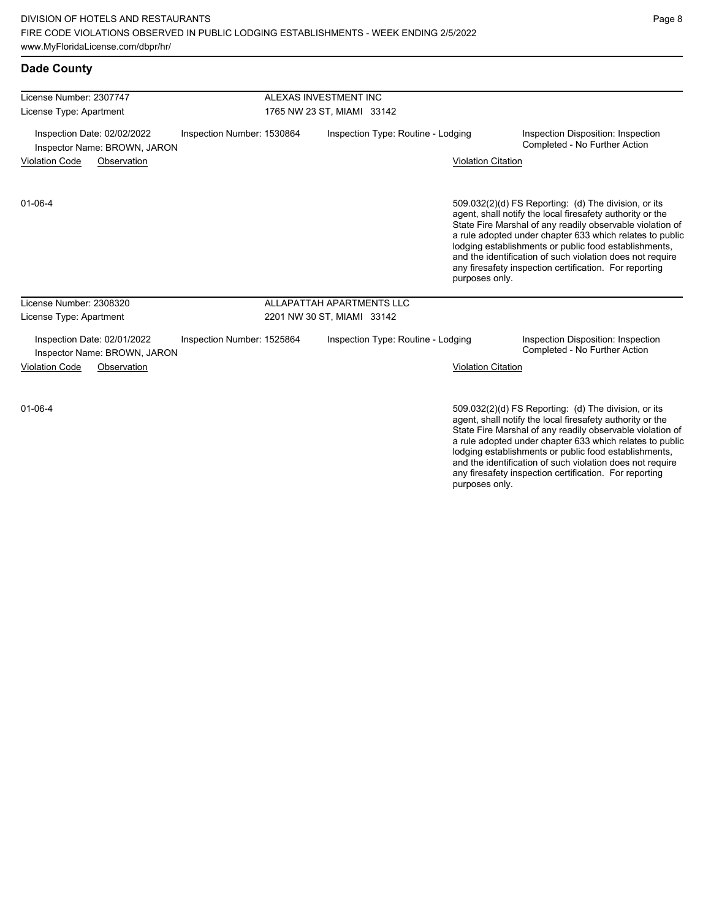| <b>Dade County</b>                                                                        |                                    |                                                                                                                                                                                                                                                                                                                                                                                                                                              |
|-------------------------------------------------------------------------------------------|------------------------------------|----------------------------------------------------------------------------------------------------------------------------------------------------------------------------------------------------------------------------------------------------------------------------------------------------------------------------------------------------------------------------------------------------------------------------------------------|
| License Number: 2307747                                                                   | ALEXAS INVESTMENT INC              |                                                                                                                                                                                                                                                                                                                                                                                                                                              |
| 1765 NW 23 ST, MIAMI 33142<br>License Type: Apartment                                     |                                    |                                                                                                                                                                                                                                                                                                                                                                                                                                              |
| Inspection Date: 02/02/2022<br>Inspection Number: 1530864<br>Inspector Name: BROWN, JARON | Inspection Type: Routine - Lodging | Inspection Disposition: Inspection<br>Completed - No Further Action                                                                                                                                                                                                                                                                                                                                                                          |
| <b>Violation Code</b><br>Observation                                                      |                                    | <b>Violation Citation</b>                                                                                                                                                                                                                                                                                                                                                                                                                    |
| $01 - 06 - 4$                                                                             |                                    | 509.032(2)(d) FS Reporting: (d) The division, or its<br>agent, shall notify the local firesafety authority or the<br>State Fire Marshal of any readily observable violation of<br>a rule adopted under chapter 633 which relates to public<br>lodging establishments or public food establishments,<br>and the identification of such violation does not require<br>any firesafety inspection certification. For reporting<br>purposes only. |
| License Number: 2308320                                                                   | ALLAPATTAH APARTMENTS LLC          |                                                                                                                                                                                                                                                                                                                                                                                                                                              |
| License Type: Apartment                                                                   | 2201 NW 30 ST, MIAMI 33142         |                                                                                                                                                                                                                                                                                                                                                                                                                                              |
| Inspection Date: 02/01/2022<br>Inspection Number: 1525864<br>Inspector Name: BROWN, JARON | Inspection Type: Routine - Lodging | Inspection Disposition: Inspection<br>Completed - No Further Action                                                                                                                                                                                                                                                                                                                                                                          |
| <b>Violation Code</b><br>Observation                                                      |                                    | <b>Violation Citation</b>                                                                                                                                                                                                                                                                                                                                                                                                                    |
| $01 - 06 - 4$                                                                             |                                    | 509.032(2)(d) FS Reporting: (d) The division, or its<br>agent, shall notify the local firesafety authority or the                                                                                                                                                                                                                                                                                                                            |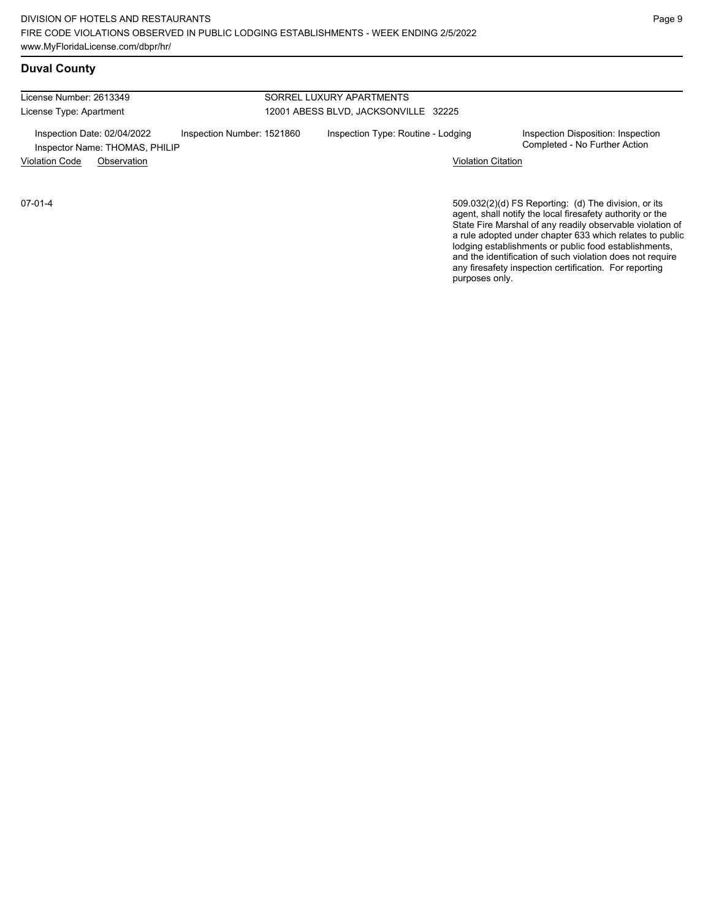# **Duval County**

License Number: 2613349 License Type: Apartment SORREL LUXURY APARTMENTS 12001 ABESS BLVD, JACKSONVILLE 32225 Inspection Date: 02/04/2022 Inspection Number: 1521860 Inspection Type: Routine - Lodging Inspection Disposition: Inspection<br>Inspector Name: THOMAS PHILIP Inspector Name: THOMAS, PHILIP Violation Code Observation Violation Citation

07-01-4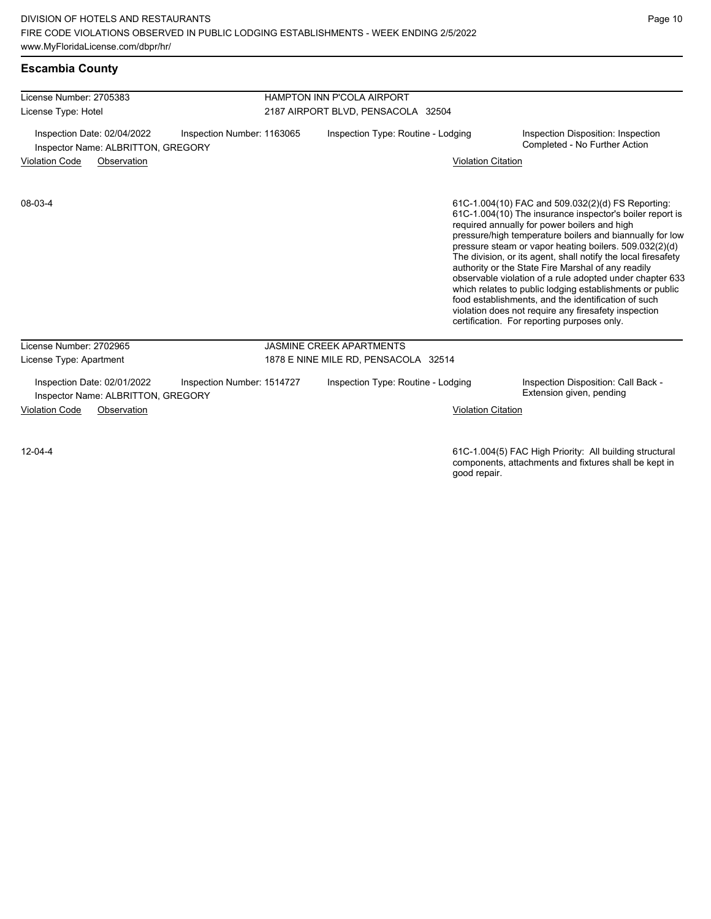**Escambia County**

| License Number: 2705383                                           |                            | <b>HAMPTON INN P'COLA AIRPORT</b>    |                           |                                                                                                                                                                                                                                                                                                                                                                                                                                                                                                                                                                                                                                                                                                  |  |
|-------------------------------------------------------------------|----------------------------|--------------------------------------|---------------------------|--------------------------------------------------------------------------------------------------------------------------------------------------------------------------------------------------------------------------------------------------------------------------------------------------------------------------------------------------------------------------------------------------------------------------------------------------------------------------------------------------------------------------------------------------------------------------------------------------------------------------------------------------------------------------------------------------|--|
| License Type: Hotel                                               |                            | 2187 AIRPORT BLVD, PENSACOLA 32504   |                           |                                                                                                                                                                                                                                                                                                                                                                                                                                                                                                                                                                                                                                                                                                  |  |
| Inspection Date: 02/04/2022<br>Inspector Name: ALBRITTON, GREGORY | Inspection Number: 1163065 | Inspection Type: Routine - Lodging   |                           | Inspection Disposition: Inspection<br>Completed - No Further Action                                                                                                                                                                                                                                                                                                                                                                                                                                                                                                                                                                                                                              |  |
| <b>Violation Code</b><br>Observation                              |                            |                                      | <b>Violation Citation</b> |                                                                                                                                                                                                                                                                                                                                                                                                                                                                                                                                                                                                                                                                                                  |  |
| 08-03-4                                                           |                            |                                      |                           | 61C-1.004(10) FAC and 509.032(2)(d) FS Reporting:<br>61C-1.004(10) The insurance inspector's boiler report is<br>required annually for power boilers and high<br>pressure/high temperature boilers and biannually for low<br>pressure steam or vapor heating boilers. 509.032(2)(d)<br>The division, or its agent, shall notify the local firesafety<br>authority or the State Fire Marshal of any readily<br>observable violation of a rule adopted under chapter 633<br>which relates to public lodging establishments or public<br>food establishments, and the identification of such<br>violation does not require any firesafety inspection<br>certification. For reporting purposes only. |  |
| License Number: 2702965                                           |                            | <b>JASMINE CREEK APARTMENTS</b>      |                           |                                                                                                                                                                                                                                                                                                                                                                                                                                                                                                                                                                                                                                                                                                  |  |
| License Type: Apartment                                           |                            | 1878 E NINE MILE RD, PENSACOLA 32514 |                           |                                                                                                                                                                                                                                                                                                                                                                                                                                                                                                                                                                                                                                                                                                  |  |
| Inspection Date: 02/01/2022<br>Inspector Name: ALBRITTON, GREGORY | Inspection Number: 1514727 | Inspection Type: Routine - Lodging   |                           | Inspection Disposition: Call Back -<br>Extension given, pending                                                                                                                                                                                                                                                                                                                                                                                                                                                                                                                                                                                                                                  |  |
| <b>Violation Code</b><br>Observation                              |                            |                                      | <b>Violation Citation</b> |                                                                                                                                                                                                                                                                                                                                                                                                                                                                                                                                                                                                                                                                                                  |  |
| $12 - 04 - 4$                                                     |                            |                                      |                           | 61C-1.004(5) FAC High Priority: All building structural<br>components, attachments and fixtures shall be kept in                                                                                                                                                                                                                                                                                                                                                                                                                                                                                                                                                                                 |  |

components, attachments and fixtures shall be kept in good repair.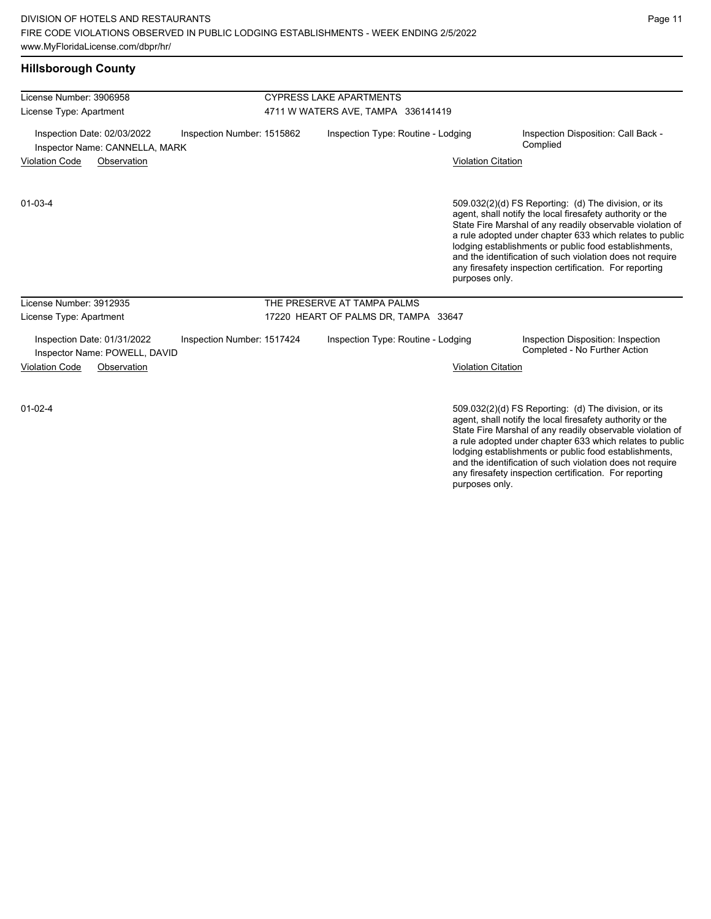### **Hillsborough County**

| License Number: 3906958                                       |                            | <b>CYPRESS LAKE APARTMENTS</b>       |                                                                                                                                                                                                                                                                                                                                                                                                                                              |  |  |  |
|---------------------------------------------------------------|----------------------------|--------------------------------------|----------------------------------------------------------------------------------------------------------------------------------------------------------------------------------------------------------------------------------------------------------------------------------------------------------------------------------------------------------------------------------------------------------------------------------------------|--|--|--|
| License Type: Apartment                                       |                            | 4711 W WATERS AVE, TAMPA 336141419   |                                                                                                                                                                                                                                                                                                                                                                                                                                              |  |  |  |
| Inspection Date: 02/03/2022<br>Inspector Name: CANNELLA, MARK | Inspection Number: 1515862 | Inspection Type: Routine - Lodging   | Inspection Disposition: Call Back -<br>Complied                                                                                                                                                                                                                                                                                                                                                                                              |  |  |  |
| <b>Violation Code</b><br>Observation                          |                            |                                      | <b>Violation Citation</b>                                                                                                                                                                                                                                                                                                                                                                                                                    |  |  |  |
| $01 - 03 - 4$                                                 |                            |                                      | 509.032(2)(d) FS Reporting: (d) The division, or its<br>agent, shall notify the local firesafety authority or the<br>State Fire Marshal of any readily observable violation of<br>a rule adopted under chapter 633 which relates to public<br>lodging establishments or public food establishments,<br>and the identification of such violation does not require<br>any firesafety inspection certification. For reporting<br>purposes only. |  |  |  |
| License Number: 3912935                                       |                            | THE PRESERVE AT TAMPA PALMS          |                                                                                                                                                                                                                                                                                                                                                                                                                                              |  |  |  |
| License Type: Apartment                                       |                            | 17220 HEART OF PALMS DR, TAMPA 33647 |                                                                                                                                                                                                                                                                                                                                                                                                                                              |  |  |  |
| Inspection Date: 01/31/2022<br>Inspector Name: POWELL, DAVID  | Inspection Number: 1517424 | Inspection Type: Routine - Lodging   | Inspection Disposition: Inspection<br>Completed - No Further Action                                                                                                                                                                                                                                                                                                                                                                          |  |  |  |
| <b>Violation Code</b><br>Observation                          |                            |                                      | <b>Violation Citation</b>                                                                                                                                                                                                                                                                                                                                                                                                                    |  |  |  |
| $01 - 02 - 4$                                                 |                            |                                      | 509.032(2)(d) FS Reporting: (d) The division, or its                                                                                                                                                                                                                                                                                                                                                                                         |  |  |  |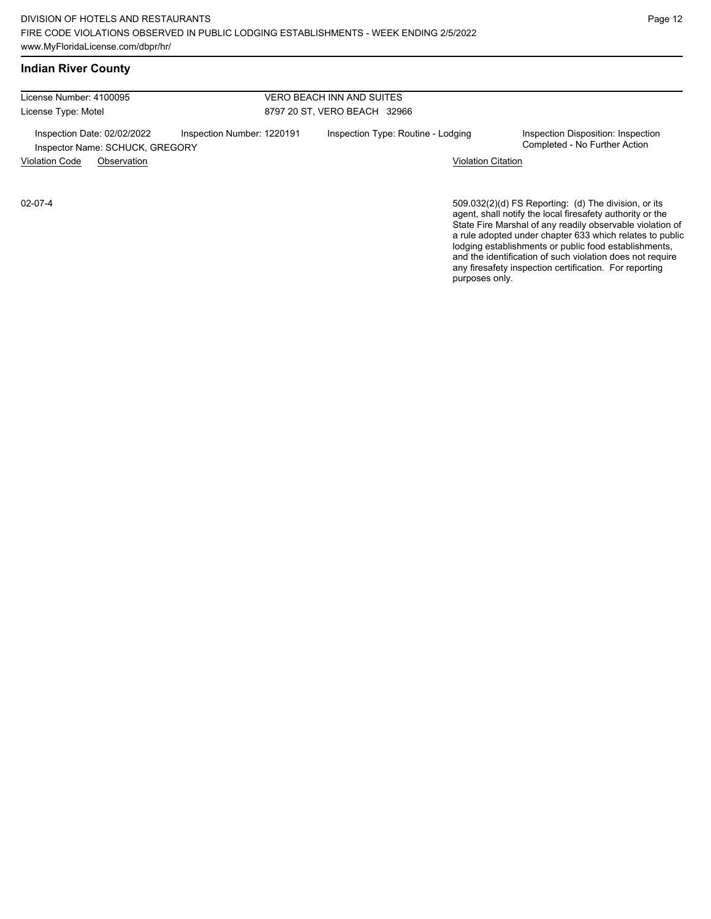License Number: 4100095 License Type: Motel VERO BEACH INN AND SUITES 8797 20 ST, VERO BEACH 32966 Inspection Date: 02/02/2022 Inspection Number: 1220191 Inspection Type: Routine - Lodging Inspection Disposition: Inspection<br>Inspector Name: SCHUCK GREGORY Inspector Name: SCHUCK, GREGORY Violation Code Observation Violation Citation

02-07-4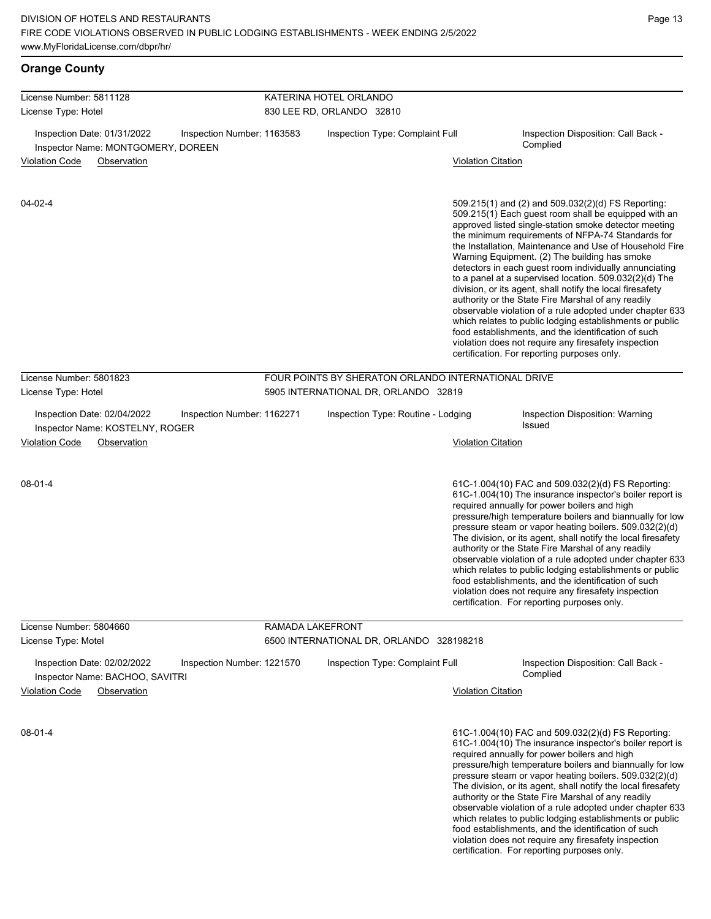| <b>Orange County</b>                                                                                      |                            |                                                     |                           |                                                                                                                                                                                                                                                                                                                                                                                                                                                                                                                                                                                                                                                                                                                                                                                                                                                                   |
|-----------------------------------------------------------------------------------------------------------|----------------------------|-----------------------------------------------------|---------------------------|-------------------------------------------------------------------------------------------------------------------------------------------------------------------------------------------------------------------------------------------------------------------------------------------------------------------------------------------------------------------------------------------------------------------------------------------------------------------------------------------------------------------------------------------------------------------------------------------------------------------------------------------------------------------------------------------------------------------------------------------------------------------------------------------------------------------------------------------------------------------|
| License Number: 5811128<br>License Type: Hotel                                                            |                            | KATERINA HOTEL ORLANDO<br>830 LEE RD, ORLANDO 32810 |                           |                                                                                                                                                                                                                                                                                                                                                                                                                                                                                                                                                                                                                                                                                                                                                                                                                                                                   |
| Inspection Date: 01/31/2022<br>Inspector Name: MONTGOMERY, DOREEN<br><b>Violation Code</b><br>Observation | Inspection Number: 1163583 | Inspection Type: Complaint Full                     | <b>Violation Citation</b> | Inspection Disposition: Call Back -<br>Complied                                                                                                                                                                                                                                                                                                                                                                                                                                                                                                                                                                                                                                                                                                                                                                                                                   |
| 04-02-4                                                                                                   |                            |                                                     |                           | 509.215(1) and (2) and 509.032(2)(d) FS Reporting:<br>509.215(1) Each guest room shall be equipped with an<br>approved listed single-station smoke detector meeting<br>the minimum requirements of NFPA-74 Standards for<br>the Installation, Maintenance and Use of Household Fire<br>Warning Equipment. (2) The building has smoke<br>detectors in each guest room individually annunciating<br>to a panel at a supervised location. 509.032(2)(d) The<br>division, or its agent, shall notify the local firesafety<br>authority or the State Fire Marshal of any readily<br>observable violation of a rule adopted under chapter 633<br>which relates to public lodging establishments or public<br>food establishments, and the identification of such<br>violation does not require any firesafety inspection<br>certification. For reporting purposes only. |
| License Number: 5801823                                                                                   |                            | FOUR POINTS BY SHERATON ORLANDO INTERNATIONAL DRIVE |                           |                                                                                                                                                                                                                                                                                                                                                                                                                                                                                                                                                                                                                                                                                                                                                                                                                                                                   |
| License Type: Hotel                                                                                       |                            | 5905 INTERNATIONAL DR, ORLANDO 32819                |                           |                                                                                                                                                                                                                                                                                                                                                                                                                                                                                                                                                                                                                                                                                                                                                                                                                                                                   |
| Inspection Date: 02/04/2022<br>Inspector Name: KOSTELNY, ROGER                                            | Inspection Number: 1162271 | Inspection Type: Routine - Lodging                  |                           | Inspection Disposition: Warning<br>Issued                                                                                                                                                                                                                                                                                                                                                                                                                                                                                                                                                                                                                                                                                                                                                                                                                         |
| <b>Violation Code</b><br>Observation                                                                      |                            | <b>Violation Citation</b>                           |                           |                                                                                                                                                                                                                                                                                                                                                                                                                                                                                                                                                                                                                                                                                                                                                                                                                                                                   |
| 08-01-4                                                                                                   |                            |                                                     |                           | 61C-1.004(10) FAC and 509.032(2)(d) FS Reporting:<br>61C-1.004(10) The insurance inspector's boiler report is<br>required annually for power boilers and high<br>pressure/high temperature boilers and biannually for low<br>pressure steam or vapor heating boilers. 509.032(2)(d)<br>The division, or its agent, shall notify the local firesafety<br>authority or the State Fire Marshal of any readily<br>observable violation of a rule adopted under chapter 633<br>which relates to public lodging establishments or public<br>food establishments, and the identification of such<br>violation does not require any firesafety inspection<br>certification. For reporting purposes only.                                                                                                                                                                  |
| License Number: 5804660                                                                                   |                            | RAMADA LAKEFRONT                                    |                           |                                                                                                                                                                                                                                                                                                                                                                                                                                                                                                                                                                                                                                                                                                                                                                                                                                                                   |
| License Type: Motel                                                                                       |                            | 6500 INTERNATIONAL DR, ORLANDO 328198218            |                           |                                                                                                                                                                                                                                                                                                                                                                                                                                                                                                                                                                                                                                                                                                                                                                                                                                                                   |
| Inspection Date: 02/02/2022<br>Inspector Name: BACHOO, SAVITRI<br><b>Violation Code</b><br>Observation    | Inspection Number: 1221570 | Inspection Type: Complaint Full                     | <b>Violation Citation</b> | Inspection Disposition: Call Back -<br>Complied                                                                                                                                                                                                                                                                                                                                                                                                                                                                                                                                                                                                                                                                                                                                                                                                                   |
| 08-01-4                                                                                                   |                            |                                                     |                           | 61C-1.004(10) FAC and 509.032(2)(d) FS Reporting:<br>61C-1.004(10) The insurance inspector's boiler report is<br>required annually for power boilers and high<br>pressure/high temperature boilers and biannually for low<br>pressure steam or vapor heating boilers. 509.032(2)(d)<br>The division, or its agent, shall notify the local firesafety<br>authority or the State Fire Marshal of any readily<br>observable violation of a rule adopted under chapter 633<br>which relates to public lodging establishments or public                                                                                                                                                                                                                                                                                                                                |

food establishments, and the identification of such violation does not require any firesafety inspection certification. For reporting purposes only.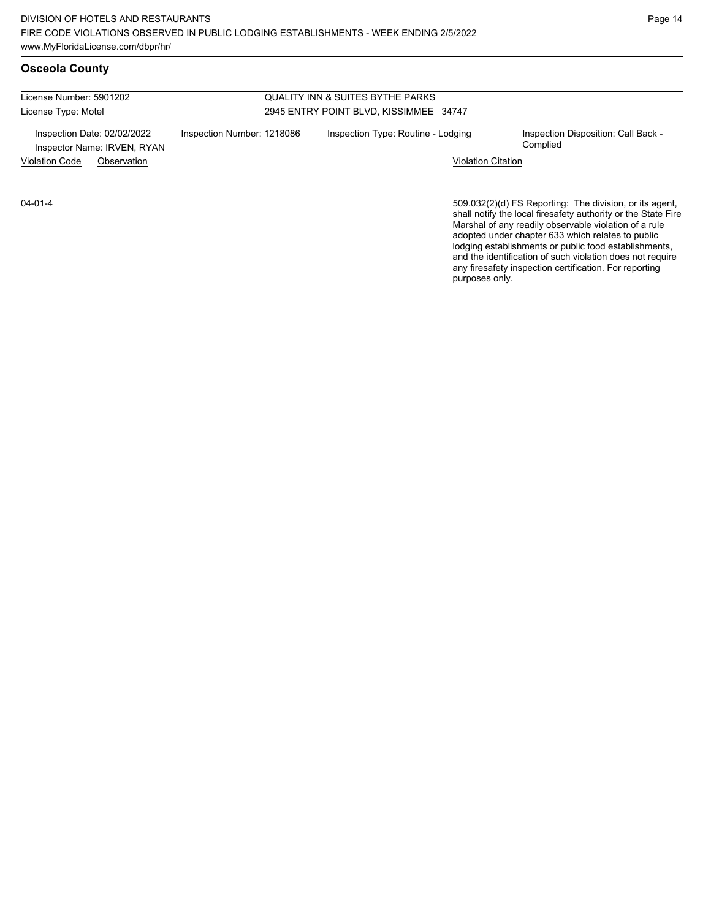### **Osceola County**

License Number: 5901202 License Type: Motel

#### QUALITY INN & SUITES BYTHE PARKS 2945 ENTRY POINT BLVD, KISSIMMEE 34747

Inspector Name: IRVEN, RYAN

Inspection Date: 02/02/2022 Inspection Number: 1218086 Inspection Type: Routine - Lodging Inspection Disposition: Call Back -<br>Inspector Name: IRVEN RYAN

Violation Code Observation Violation Citation

04-01-4

509.032(2)(d) FS Reporting: The division, or its agent,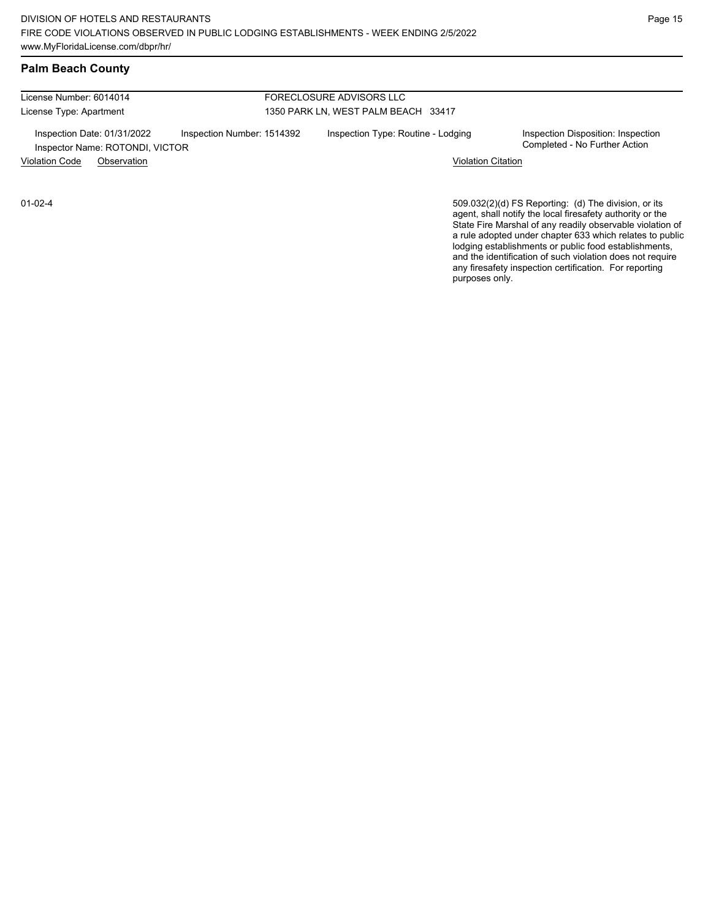### **Palm Beach County**

License Number: 6014014 License Type: Apartment

#### FORECLOSURE ADVISORS LLC 1350 PARK LN, WEST PALM BEACH 33417

Inspection Date: 01/31/2022 Inspection Number: 1514392 Inspection Type: Routine - Lodging Inspection Disposition: Inspection<br>Inspector Name: ROTONDI VICTOR Inspector Name: ROTONDI, VICTOR Violation Code Observation Violation Citation

01-02-4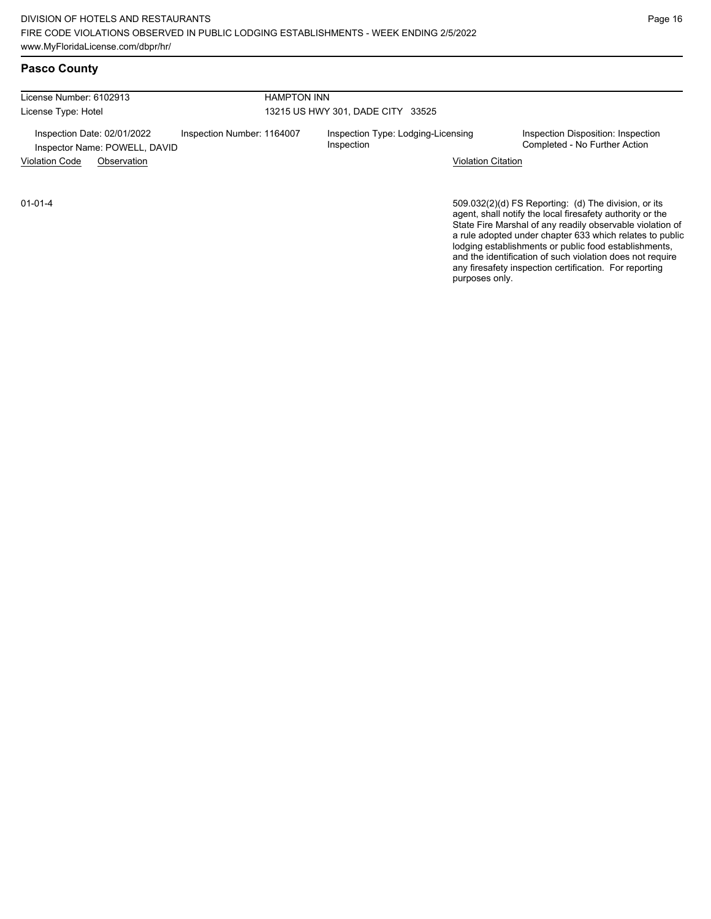## **Pasco County**

| License Number: 6102913<br><b>HAMPTON INN</b>                |                            |                                                  |                                                                     |  |  |
|--------------------------------------------------------------|----------------------------|--------------------------------------------------|---------------------------------------------------------------------|--|--|
| License Type: Hotel                                          |                            | 13215 US HWY 301, DADE CITY 33525                |                                                                     |  |  |
| Inspection Date: 02/01/2022<br>Inspector Name: POWELL, DAVID | Inspection Number: 1164007 | Inspection Type: Lodging-Licensing<br>Inspection | Inspection Disposition: Inspection<br>Completed - No Further Action |  |  |
| <b>Violation Code</b><br>Observation                         |                            | <b>Violation Citation</b>                        |                                                                     |  |  |

01-01-4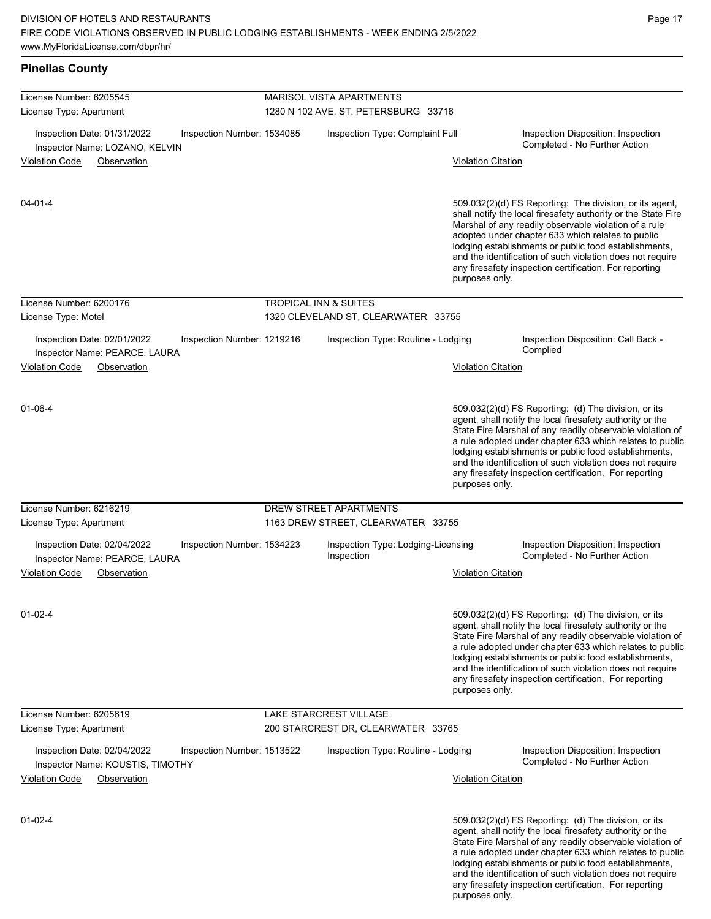any firesafety inspection certification. For reporting

| <b>Pinellas County</b>                                                                                |                            |                                                                         |                           |                                                                                                                                                                                                                                                                                                                                                                                                                            |
|-------------------------------------------------------------------------------------------------------|----------------------------|-------------------------------------------------------------------------|---------------------------|----------------------------------------------------------------------------------------------------------------------------------------------------------------------------------------------------------------------------------------------------------------------------------------------------------------------------------------------------------------------------------------------------------------------------|
| License Number: 6205545<br>License Type: Apartment                                                    |                            | <b>MARISOL VISTA APARTMENTS</b><br>1280 N 102 AVE, ST. PETERSBURG 33716 |                           |                                                                                                                                                                                                                                                                                                                                                                                                                            |
| Inspection Date: 01/31/2022<br>Inspector Name: LOZANO, KELVIN<br><b>Violation Code</b><br>Observation | Inspection Number: 1534085 | Inspection Type: Complaint Full                                         | <b>Violation Citation</b> | Inspection Disposition: Inspection<br>Completed - No Further Action                                                                                                                                                                                                                                                                                                                                                        |
|                                                                                                       |                            |                                                                         |                           |                                                                                                                                                                                                                                                                                                                                                                                                                            |
| $04 - 01 - 4$                                                                                         |                            |                                                                         | purposes only.            | 509.032(2)(d) FS Reporting: The division, or its agent,<br>shall notify the local firesafety authority or the State Fire<br>Marshal of any readily observable violation of a rule<br>adopted under chapter 633 which relates to public<br>lodging establishments or public food establishments,<br>and the identification of such violation does not require<br>any firesafety inspection certification. For reporting     |
| License Number: 6200176                                                                               |                            | TROPICAL INN & SUITES                                                   |                           |                                                                                                                                                                                                                                                                                                                                                                                                                            |
| License Type: Motel                                                                                   |                            | 1320 CLEVELAND ST, CLEARWATER 33755                                     |                           |                                                                                                                                                                                                                                                                                                                                                                                                                            |
| Inspection Date: 02/01/2022<br>Inspector Name: PEARCE, LAURA                                          | Inspection Number: 1219216 | Inspection Type: Routine - Lodging                                      |                           | Inspection Disposition: Call Back -<br>Complied                                                                                                                                                                                                                                                                                                                                                                            |
| <b>Violation Code</b><br>Observation                                                                  |                            |                                                                         | <b>Violation Citation</b> |                                                                                                                                                                                                                                                                                                                                                                                                                            |
| 01-06-4                                                                                               |                            |                                                                         | purposes only.            | 509.032(2)(d) FS Reporting: (d) The division, or its<br>agent, shall notify the local firesafety authority or the<br>State Fire Marshal of any readily observable violation of<br>a rule adopted under chapter 633 which relates to public<br>lodging establishments or public food establishments,<br>and the identification of such violation does not require<br>any firesafety inspection certification. For reporting |
| License Number: 6216219                                                                               |                            | DREW STREET APARTMENTS                                                  |                           |                                                                                                                                                                                                                                                                                                                                                                                                                            |
| License Type: Apartment                                                                               |                            | 1163 DREW STREET, CLEARWATER 33755                                      |                           |                                                                                                                                                                                                                                                                                                                                                                                                                            |
| Inspection Date: 02/04/2022<br>Inspector Name: PEARCE, LAURA<br>Violation Code<br>Observation         | Inspection Number: 1534223 | Inspection Type: Lodging-Licensing<br>Inspection                        | <b>Violation Citation</b> | Inspection Disposition: Inspection<br>Completed - No Further Action                                                                                                                                                                                                                                                                                                                                                        |
|                                                                                                       |                            |                                                                         |                           |                                                                                                                                                                                                                                                                                                                                                                                                                            |
| $01 - 02 - 4$                                                                                         |                            |                                                                         | purposes only.            | 509.032(2)(d) FS Reporting: (d) The division, or its<br>agent, shall notify the local firesafety authority or the<br>State Fire Marshal of any readily observable violation of<br>a rule adopted under chapter 633 which relates to public<br>lodging establishments or public food establishments,<br>and the identification of such violation does not require<br>any firesafety inspection certification. For reporting |
| License Number: 6205619                                                                               |                            | <b>LAKE STARCREST VILLAGE</b>                                           |                           |                                                                                                                                                                                                                                                                                                                                                                                                                            |
| License Type: Apartment                                                                               |                            | 200 STARCREST DR, CLEARWATER 33765                                      |                           |                                                                                                                                                                                                                                                                                                                                                                                                                            |
| Inspection Date: 02/04/2022<br>Inspector Name: KOUSTIS, TIMOTHY                                       | Inspection Number: 1513522 | Inspection Type: Routine - Lodging                                      |                           | Inspection Disposition: Inspection<br>Completed - No Further Action                                                                                                                                                                                                                                                                                                                                                        |
| <b>Violation Code</b><br>Observation                                                                  |                            |                                                                         | <b>Violation Citation</b> |                                                                                                                                                                                                                                                                                                                                                                                                                            |
| $01 - 02 - 4$                                                                                         |                            |                                                                         |                           | 509.032(2)(d) FS Reporting: (d) The division, or its<br>agent, shall notify the local firesafety authority or the<br>State Fire Marshal of any readily observable violation of<br>a rule adopted under chapter 633 which relates to public<br>lodging establishments or public food establishments,<br>and the identification of such violation does not require                                                           |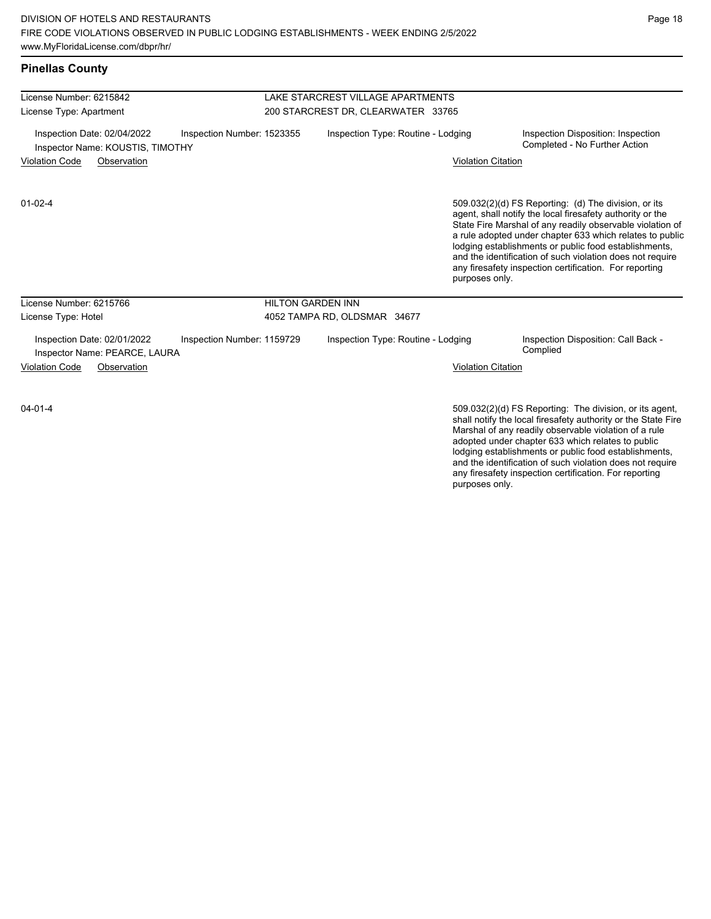| <b>Pinellas County</b>                                                                        |                            |                                                                         |                                    |                           |                                                                                                                                                                                                                                                                                                                                                                                                                            |  |
|-----------------------------------------------------------------------------------------------|----------------------------|-------------------------------------------------------------------------|------------------------------------|---------------------------|----------------------------------------------------------------------------------------------------------------------------------------------------------------------------------------------------------------------------------------------------------------------------------------------------------------------------------------------------------------------------------------------------------------------------|--|
| License Number: 6215842                                                                       |                            | LAKE STARCREST VILLAGE APARTMENTS<br>200 STARCREST DR, CLEARWATER 33765 |                                    |                           |                                                                                                                                                                                                                                                                                                                                                                                                                            |  |
| License Type: Apartment                                                                       |                            |                                                                         |                                    |                           |                                                                                                                                                                                                                                                                                                                                                                                                                            |  |
| Inspection Date: 02/04/2022<br>Inspection Number: 1523355<br>Inspector Name: KOUSTIS, TIMOTHY |                            |                                                                         | Inspection Type: Routine - Lodging |                           | Inspection Disposition: Inspection<br>Completed - No Further Action                                                                                                                                                                                                                                                                                                                                                        |  |
| <b>Violation Code</b><br>Observation                                                          |                            |                                                                         |                                    | <b>Violation Citation</b> |                                                                                                                                                                                                                                                                                                                                                                                                                            |  |
| $01 - 02 - 4$                                                                                 |                            |                                                                         |                                    | purposes only.            | 509.032(2)(d) FS Reporting: (d) The division, or its<br>agent, shall notify the local firesafety authority or the<br>State Fire Marshal of any readily observable violation of<br>a rule adopted under chapter 633 which relates to public<br>lodging establishments or public food establishments,<br>and the identification of such violation does not require<br>any firesafety inspection certification. For reporting |  |
| License Number: 6215766                                                                       |                            | <b>HILTON GARDEN INN</b>                                                |                                    |                           |                                                                                                                                                                                                                                                                                                                                                                                                                            |  |
| License Type: Hotel                                                                           |                            | 4052 TAMPA RD, OLDSMAR 34677                                            |                                    |                           |                                                                                                                                                                                                                                                                                                                                                                                                                            |  |
| Inspection Date: 02/01/2022<br>Inspector Name: PEARCE, LAURA                                  | Inspection Number: 1159729 |                                                                         | Inspection Type: Routine - Lodging |                           | Inspection Disposition: Call Back -<br>Complied                                                                                                                                                                                                                                                                                                                                                                            |  |
| <b>Violation Code</b><br>Observation                                                          |                            |                                                                         |                                    | <b>Violation Citation</b> |                                                                                                                                                                                                                                                                                                                                                                                                                            |  |
| $04 - 01 - 4$                                                                                 |                            |                                                                         |                                    |                           | 509.032(2)(d) FS Reporting: The division, or its agent,<br>shall matification has all financification and continuum that Otata IT ins                                                                                                                                                                                                                                                                                      |  |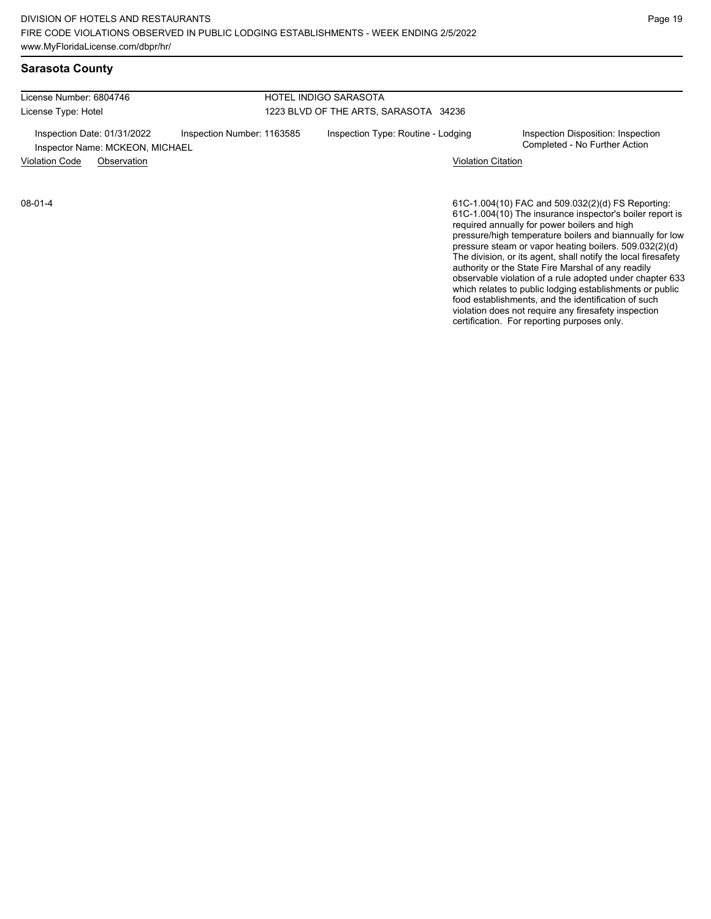### **Sarasota County**

| License Number: 6804746                                           |                            | HOTEL INDIGO SARASOTA                 |                                                                     |  |  |
|-------------------------------------------------------------------|----------------------------|---------------------------------------|---------------------------------------------------------------------|--|--|
| License Type: Hotel                                               |                            | 1223 BLVD OF THE ARTS, SARASOTA 34236 |                                                                     |  |  |
| Inspection Date: 01/31/2022<br>Inspector Name: MCKEON, MICHAEL    | Inspection Number: 1163585 | Inspection Type: Routine - Lodging    | Inspection Disposition: Inspection<br>Completed - No Further Action |  |  |
| <b>Violation Code</b><br><b>Violation Citation</b><br>Observation |                            |                                       |                                                                     |  |  |
|                                                                   |                            |                                       |                                                                     |  |  |

08-01-4

61C-1.004(10) FAC and 509.032(2)(d) FS Reporting: 61C-1.004(10) The insurance inspector's boiler report is required annually for power boilers and high pressure/high temperature boilers and biannually for low pressure steam or vapor heating boilers. 509.032(2)(d) The division, or its agent, shall notify the local firesafety authority or the State Fire Marshal of any readily observable violation of a rule adopted under chapter 633 which relates to public lodging establishments or public food establishments, and the identification of such violation does not require any firesafety inspection certification. For reporting purposes only.